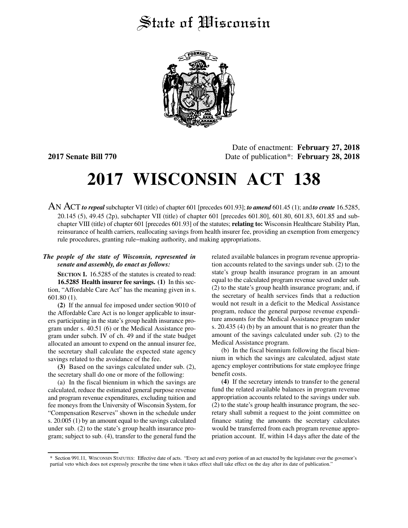# State of Wisconsin



Date of enactment: **February 27, 2018 2017 Senate Bill 770** Date of publication\*: **February 28, 2018**

# **2017 WISCONSIN ACT 138**

AN ACT *to repeal* subchapter VI (title) of chapter 601 [precedes 601.93]; *to amend* 601.45 (1); and*to create* 16.5285, 20.145 (5), 49.45 (2p), subchapter VII (title) of chapter 601 [precedes 601.80], 601.80, 601.83, 601.85 and subchapter VIII (title) of chapter 601 [precedes 601.93] of the statutes; **relating to:** Wisconsin Healthcare Stability Plan, reinsurance of health carriers, reallocating savings from health insurer fee, providing an exemption from emergency rule procedures, granting rule−making authority, and making appropriations.

# *The people of the state of Wisconsin, represented in senate and assembly, do enact as follows:*

**SECTION 1.** 16.5285 of the statutes is created to read: **16.5285 Health insurer fee savings. (1)** In this section, "Affordable Care Act" has the meaning given in s. 601.80 (1).

**(2)** If the annual fee imposed under section 9010 of the Affordable Care Act is no longer applicable to insurers participating in the state's group health insurance program under s. 40.51 (6) or the Medical Assistance program under subch. IV of ch. 49 and if the state budget allocated an amount to expend on the annual insurer fee, the secretary shall calculate the expected state agency savings related to the avoidance of the fee.

**(3)** Based on the savings calculated under sub. (2), the secretary shall do one or more of the following:

(a) In the fiscal biennium in which the savings are calculated, reduce the estimated general purpose revenue and program revenue expenditures, excluding tuition and fee moneys from the University of Wisconsin System, for "Compensation Reserves" shown in the schedule under s. 20.005 (1) by an amount equal to the savings calculated under sub. (2) to the state's group health insurance program; subject to sub. (4), transfer to the general fund the related available balances in program revenue appropriation accounts related to the savings under sub. (2) to the state's group health insurance program in an amount equal to the calculated program revenue saved under sub. (2) to the state's group health insurance program; and, if the secretary of health services finds that a reduction would not result in a deficit to the Medical Assistance program, reduce the general purpose revenue expenditure amounts for the Medical Assistance program under s. 20.435 (4) (b) by an amount that is no greater than the amount of the savings calculated under sub. (2) to the Medical Assistance program.

(b) In the fiscal biennium following the fiscal biennium in which the savings are calculated, adjust state agency employer contributions for state employee fringe benefit costs.

**(4)** If the secretary intends to transfer to the general fund the related available balances in program revenue appropriation accounts related to the savings under sub. (2) to the state's group health insurance program, the secretary shall submit a request to the joint committee on finance stating the amounts the secretary calculates would be transferred from each program revenue appropriation account. If, within 14 days after the date of the

<sup>\*</sup> Section 991.11, WISCONSIN STATUTES: Effective date of acts. "Every act and every portion of an act enacted by the legislature over the governor's partial veto which does not expressly prescribe the time when it takes effect shall take effect on the day after its date of publication."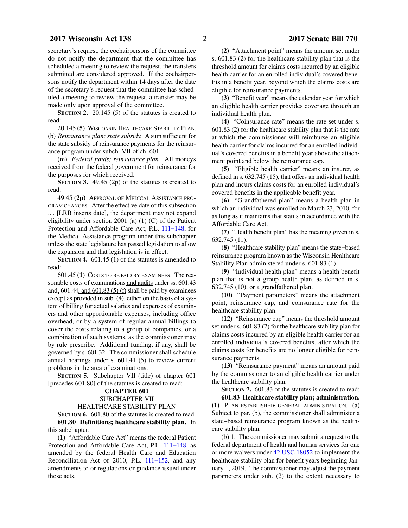# **2017 Wisconsin Act 138** − 2 − 2017 Senate Bill 770

secretary's request, the cochairpersons of the committee do not notify the department that the committee has scheduled a meeting to review the request, the transfers submitted are considered approved. If the cochairpersons notify the department within 14 days after the date of the secretary's request that the committee has scheduled a meeting to review the request, a transfer may be made only upon approval of the committee.

**SECTION 2.** 20.145 (5) of the statutes is created to read:

20.145 **(5)** WISCONSIN HEALTHCARE STABILITY PLAN. (b) *Reinsurance plan; state subsidy.* A sum sufficient for the state subsidy of reinsurance payments for the reinsurance program under subch. VII of ch. 601.

(m) *Federal funds; reinsurance plan.* All moneys received from the federal government for reinsurance for the purposes for which received.

**SECTION 3.** 49.45 (2p) of the statutes is created to read:

49.45 **(2p)** APPROVAL OF MEDICAL ASSISTANCE PRO-GRAM CHANGES. After the effective date of this subsection .... [LRB inserts date], the department may not expand eligibility under section 2001 (a) (1) (C) of the Patient Protection and Affordable Care Act, P.L. [111−148,](https://docs.legis.wisconsin.gov/document/publiclaw/111-148) for the Medical Assistance program under this subchapter unless the state legislature has passed legislation to allow the expansion and that legislation is in effect.

**SECTION 4.** 601.45 (1) of the statutes is amended to read:

601.45 **(1)** COSTS TO BE PAID BY EXAMINEES. The reasonable costs of examinations and audits under ss. 601.43 and,  $601.44$ , and  $601.83$  (5) (f) shall be paid by examinees except as provided in sub. (4), either on the basis of a system of billing for actual salaries and expenses of examiners and other apportionable expenses, including office overhead, or by a system of regular annual billings to cover the costs relating to a group of companies, or a combination of such systems, as the commissioner may by rule prescribe. Additional funding, if any, shall be governed by s. 601.32. The commissioner shall schedule annual hearings under s. 601.41 (5) to review current problems in the area of examinations.

**SECTION 5.** Subchapter VII (title) of chapter 601 [precedes 601.80] of the statutes is created to read:

#### **CHAPTER 601**

#### SUBCHAPTER VII

HEALTHCARE STABILITY PLAN

**SECTION 6.** 601.80 of the statutes is created to read: **601.80 Definitions; healthcare stability plan.** In this subchapter:

**(1)** "Affordable Care Act" means the federal Patient Protection and Affordable Care Act, P.L. [111−148](https://docs.legis.wisconsin.gov/document/publiclaw/111-148), as amended by the federal Health Care and Education Reconciliation Act of 2010, P.L. [111−152,](https://docs.legis.wisconsin.gov/document/publiclaw/111-152) and any amendments to or regulations or guidance issued under those acts.

**(2)** "Attachment point" means the amount set under s. 601.83 (2) for the healthcare stability plan that is the threshold amount for claims costs incurred by an eligible health carrier for an enrolled individual's covered benefits in a benefit year, beyond which the claims costs are eligible for reinsurance payments.

**(3)** "Benefit year" means the calendar year for which an eligible health carrier provides coverage through an individual health plan.

**(4)** "Coinsurance rate" means the rate set under s. 601.83 (2) for the healthcare stability plan that is the rate at which the commissioner will reimburse an eligible health carrier for claims incurred for an enrolled individual's covered benefits in a benefit year above the attachment point and below the reinsurance cap.

**(5)** "Eligible health carrier" means an insurer, as defined in s. 632.745 (15), that offers an individual health plan and incurs claims costs for an enrolled individual's covered benefits in the applicable benefit year.

**(6)** "Grandfathered plan" means a health plan in which an individual was enrolled on March 23, 2010, for as long as it maintains that status in accordance with the Affordable Care Act.

**(7)** "Health benefit plan" has the meaning given in s. 632.745 (11).

**(8)** "Healthcare stability plan" means the state−based reinsurance program known as the Wisconsin Healthcare Stability Plan administered under s. 601.83 (1).

**(9)** "Individual health plan" means a health benefit plan that is not a group health plan, as defined in s. 632.745 (10), or a grandfathered plan.

**(10)** "Payment parameters" means the attachment point, reinsurance cap, and coinsurance rate for the healthcare stability plan.

**(12)** "Reinsurance cap" means the threshold amount set under s. 601.83 (2) for the healthcare stability plan for claims costs incurred by an eligible health carrier for an enrolled individual's covered benefits, after which the claims costs for benefits are no longer eligible for reinsurance payments.

**(13)** "Reinsurance payment" means an amount paid by the commissioner to an eligible health carrier under the healthcare stability plan.

**SECTION 7.** 601.83 of the statutes is created to read: **601.83 Healthcare stability plan; administration.**

**(1)** PLAN ESTABLISHED; GENERAL ADMINISTRATION. (a) Subject to par. (b), the commissioner shall administer a state−based reinsurance program known as the healthcare stability plan.

(b) 1. The commissioner may submit a request to the federal department of health and human services for one or more waivers under [42 USC 18052](https://docs.legis.wisconsin.gov/document/usc/42%20USC%2018052) to implement the healthcare stability plan for benefit years beginning January 1, 2019. The commissioner may adjust the payment parameters under sub. (2) to the extent necessary to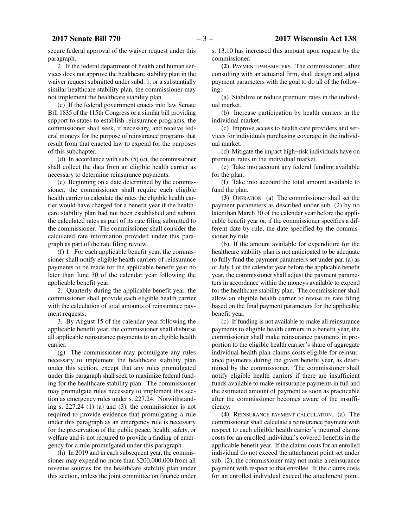secure federal approval of the waiver request under this paragraph.

2. If the federal department of health and human services does not approve the healthcare stability plan in the waiver request submitted under subd. 1. or a substantially similar healthcare stability plan, the commissioner may not implement the healthcare stability plan.

(c) If the federal government enacts into law Senate Bill 1835 of the 115th Congress or a similar bill providing support to states to establish reinsurance programs, the commissioner shall seek, if necessary, and receive federal moneys for the purpose of reinsurance programs that result from that enacted law to expend for the purposes of this subchapter.

(d) In accordance with sub. (5) (c), the commissioner shall collect the data from an eligible health carrier as necessary to determine reinsurance payments.

(e) Beginning on a date determined by the commissioner, the commissioner shall require each eligible health carrier to calculate the rates the eligible health carrier would have charged for a benefit year if the healthcare stability plan had not been established and submit the calculated rates as part of its rate filing submitted to the commissioner. The commissioner shall consider the calculated rate information provided under this paragraph as part of the rate filing review.

(f) 1. For each applicable benefit year, the commissioner shall notify eligible health carriers of reinsurance payments to be made for the applicable benefit year no later than June 30 of the calendar year following the applicable benefit year.

2. Quarterly during the applicable benefit year, the commissioner shall provide each eligible health carrier with the calculation of total amounts of reinsurance payment requests.

3. By August 15 of the calendar year following the applicable benefit year, the commissioner shall disburse all applicable reinsurance payments to an eligible health carrier.

(g) The commissioner may promulgate any rules necessary to implement the healthcare stability plan under this section, except that any rules promulgated under this paragraph shall seek to maximize federal funding for the healthcare stability plan. The commissioner may promulgate rules necessary to implement this section as emergency rules under s. 227.24. Notwithstanding s. 227.24 (1) (a) and (3), the commissioner is not required to provide evidence that promulgating a rule under this paragraph as an emergency rule is necessary for the preservation of the public peace, health, safety, or welfare and is not required to provide a finding of emergency for a rule promulgated under this paragraph.

(h) In 2019 and in each subsequent year, the commissioner may expend no more than \$200,000,000 from all revenue sources for the healthcare stability plan under this section, unless the joint committee on finance under s. 13.10 has increased this amount upon request by the commissioner.

**(2)** PAYMENT PARAMETERS. The commissioner, after consulting with an actuarial firm, shall design and adjust payment parameters with the goal to do all of the following:

(a) Stabilize or reduce premium rates in the individual market.

(b) Increase participation by health carriers in the individual market.

(c) Improve access to health care providers and services for individuals purchasing coverage in the individual market.

(d) Mitigate the impact high−risk individuals have on premium rates in the individual market.

(e) Take into account any federal funding available for the plan.

(f) Take into account the total amount available to fund the plan.

**(3)** OPERATION. (a) The commissioner shall set the payment parameters as described under sub. (2) by no later than March 30 of the calendar year before the applicable benefit year or, if the commissioner specifies a different date by rule, the date specified by the commissioner by rule.

(b) If the amount available for expenditure for the healthcare stability plan is not anticipated to be adequate to fully fund the payment parameters set under par. (a) as of July 1 of the calendar year before the applicable benefit year, the commissioner shall adjust the payment parameters in accordance within the moneys available to expend for the healthcare stability plan. The commissioner shall allow an eligible health carrier to revise its rate filing based on the final payment parameters for the applicable benefit year.

(c) If funding is not available to make all reinsurance payments to eligible health carriers in a benefit year, the commissioner shall make reinsurance payments in proportion to the eligible health carrier's share of aggregate individual health plan claims costs eligible for reinsurance payments during the given benefit year, as determined by the commissioner. The commissioner shall notify eligible health carriers if there are insufficient funds available to make reinsurance payments in full and the estimated amount of payment as soon as practicable after the commissioner becomes aware of the insufficiency.

**(4)** REINSURANCE PAYMENT CALCULATION. (a) The commissioner shall calculate a reinsurance payment with respect to each eligible health carrier's incurred claims costs for an enrolled individual's covered benefits in the applicable benefit year. If the claims costs for an enrolled individual do not exceed the attachment point set under sub. (2), the commissioner may not make a reinsurance payment with respect to that enrollee. If the claims costs for an enrolled individual exceed the attachment point,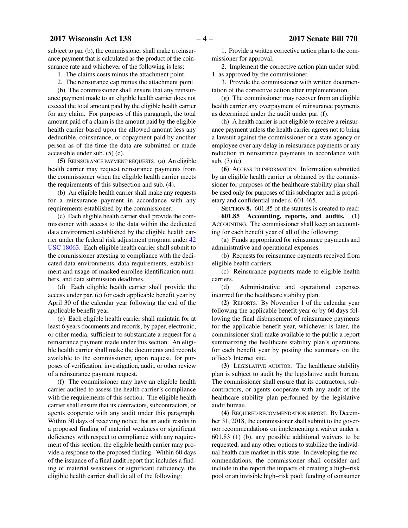subject to par. (b), the commissioner shall make a reinsurance payment that is calculated as the product of the coinsurance rate and whichever of the following is less:

1. The claims costs minus the attachment point.

2. The reinsurance cap minus the attachment point.

(b) The commissioner shall ensure that any reinsurance payment made to an eligible health carrier does not exceed the total amount paid by the eligible health carrier for any claim. For purposes of this paragraph, the total amount paid of a claim is the amount paid by the eligible health carrier based upon the allowed amount less any deductible, coinsurance, or copayment paid by another person as of the time the data are submitted or made accessible under sub. (5) (c).

**(5)** REINSURANCE PAYMENT REQUESTS. (a) An eligible health carrier may request reinsurance payments from the commissioner when the eligible health carrier meets the requirements of this subsection and sub. (4).

(b) An eligible health carrier shall make any requests for a reinsurance payment in accordance with any requirements established by the commissioner.

(c) Each eligible health carrier shall provide the commissioner with access to the data within the dedicated data environment established by the eligible health carrier under the federal risk adjustment program under [42](https://docs.legis.wisconsin.gov/document/usc/42%20USC%2018063) [USC 18063.](https://docs.legis.wisconsin.gov/document/usc/42%20USC%2018063) Each eligible health carrier shall submit to the commissioner attesting to compliance with the dedicated data environments, data requirements, establishment and usage of masked enrollee identification numbers, and data submission deadlines.

(d) Each eligible health carrier shall provide the access under par. (c) for each applicable benefit year by April 30 of the calendar year following the end of the applicable benefit year.

(e) Each eligible health carrier shall maintain for at least 6 years documents and records, by paper, electronic, or other media, sufficient to substantiate a request for a reinsurance payment made under this section. An eligible health carrier shall make the documents and records available to the commissioner, upon request, for purposes of verification, investigation, audit, or other review of a reinsurance payment request.

(f) The commissioner may have an eligible health carrier audited to assess the health carrier's compliance with the requirements of this section. The eligible health carrier shall ensure that its contractors, subcontractors, or agents cooperate with any audit under this paragraph. Within 30 days of receiving notice that an audit results in a proposed finding of material weakness or significant deficiency with respect to compliance with any requirement of this section, the eligible health carrier may provide a response to the proposed finding. Within 60 days of the issuance of a final audit report that includes a finding of material weakness or significant deficiency, the eligible health carrier shall do all of the following:

1. Provide a written corrective action plan to the commissioner for approval.

2. Implement the corrective action plan under subd. 1. as approved by the commissioner.

3. Provide the commissioner with written documentation of the corrective action after implementation.

(g) The commissioner may recover from an eligible health carrier any overpayment of reinsurance payments as determined under the audit under par. (f).

(h) A health carrier is not eligible to receive a reinsurance payment unless the health carrier agrees not to bring a lawsuit against the commissioner or a state agency or employee over any delay in reinsurance payments or any reduction in reinsurance payments in accordance with sub. (3) (c).

**(6)** ACCESS TO INFORMATION. Information submitted by an eligible health carrier or obtained by the commissioner for purposes of the healthcare stability plan shall be used only for purposes of this subchapter and is proprietary and confidential under s. 601.465.

**SECTION 8.** 601.85 of the statutes is created to read: **601.85 Accounting, reports, and audits. (1)** ACCOUNTING. The commissioner shall keep an accounting for each benefit year of all of the following:

(a) Funds appropriated for reinsurance payments and administrative and operational expenses.

(b) Requests for reinsurance payments received from eligible health carriers.

(c) Reinsurance payments made to eligible health carriers.

(d) Administrative and operational expenses incurred for the healthcare stability plan.

**(2)** REPORTS. By November 1 of the calendar year following the applicable benefit year or by 60 days following the final disbursement of reinsurance payments for the applicable benefit year, whichever is later, the commissioner shall make available to the public a report summarizing the healthcare stability plan's operations for each benefit year by posting the summary on the office's Internet site.

**(3)** LEGISLATIVE AUDITOR. The healthcare stability plan is subject to audit by the legislative audit bureau. The commissioner shall ensure that its contractors, subcontractors, or agents cooperate with any audit of the healthcare stability plan performed by the legislative audit bureau.

**(4)** REQUIRED RECOMMENDATION REPORT. By December 31, 2018, the commissioner shall submit to the governor recommendations on implementing a waiver under s. 601.83 (1) (b), any possible additional waivers to be requested, and any other options to stabilize the individual health care market in this state. In developing the recommendations, the commissioner shall consider and include in the report the impacts of creating a high−risk pool or an invisible high−risk pool; funding of consumer